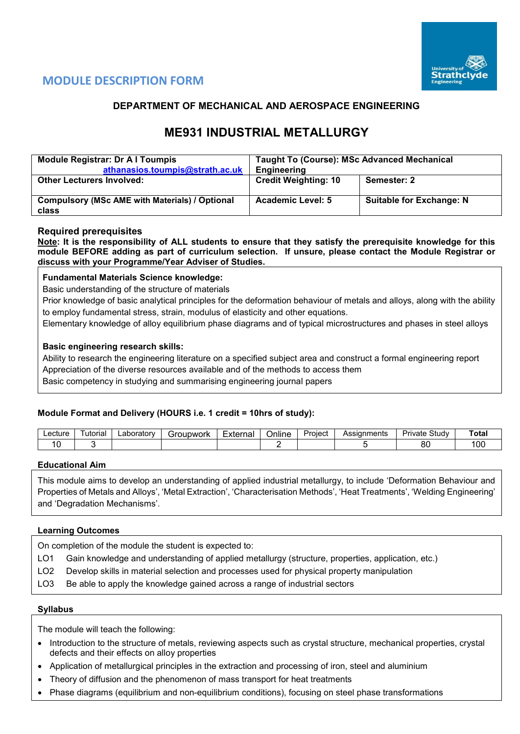

## **MODULE DESCRIPTION FORM**

## **DEPARTMENT OF MECHANICAL AND AEROSPACE ENGINEERING**

# **ME931 INDUSTRIAL METALLURGY**

| <b>Module Registrar: Dr A I Toumpis</b><br>athanasios.toumpis@strath.ac.uk | <b>Taught To (Course): MSc Advanced Mechanical</b><br><b>Engineering</b> |                                 |  |  |  |
|----------------------------------------------------------------------------|--------------------------------------------------------------------------|---------------------------------|--|--|--|
| <b>Other Lecturers Involved:</b>                                           | <b>Credit Weighting: 10</b>                                              | Semester: 2                     |  |  |  |
|                                                                            |                                                                          |                                 |  |  |  |
| <b>Compulsory (MSc AME with Materials) / Optional</b>                      | <b>Academic Level: 5</b>                                                 | <b>Suitable for Exchange: N</b> |  |  |  |
| class                                                                      |                                                                          |                                 |  |  |  |

### **Required prerequisites**

**Note: It is the responsibility of ALL students to ensure that they satisfy the prerequisite knowledge for this module BEFORE adding as part of curriculum selection. If unsure, please contact the Module Registrar or discuss with your Programme/Year Adviser of Studies.**

#### **Fundamental Materials Science knowledge:**

Basic understanding of the structure of materials

Prior knowledge of basic analytical principles for the deformation behaviour of metals and alloys, along with the ability to employ fundamental stress, strain, modulus of elasticity and other equations.

Elementary knowledge of alloy equilibrium phase diagrams and of typical microstructures and phases in steel alloys

#### **Basic engineering research skills:**

Ability to research the engineering literature on a specified subject area and construct a formal engineering report Appreciation of the diverse resources available and of the methods to access them Basic competency in studying and summarising engineering journal papers

#### **Module Format and Delivery (HOURS i.e. 1 credit = 10hrs of study):**

| ∟ecture | utorial | ∟aborator∨ | Foubwork | Externa | Online | _<br>Project | Assignments | Study<br>Private | Total          |
|---------|---------|------------|----------|---------|--------|--------------|-------------|------------------|----------------|
|         |         |            |          |         |        |              |             | or<br>ōι         | 0 <sup>c</sup> |

#### **Educational Aim**

This module aims to develop an understanding of applied industrial metallurgy, to include 'Deformation Behaviour and Properties of Metals and Alloys', 'Metal Extraction', 'Characterisation Methods', 'Heat Treatments', 'Welding Engineering' and 'Degradation Mechanisms'.

#### **Learning Outcomes**

On completion of the module the student is expected to:

- LO1 Gain knowledge and understanding of applied metallurgy (structure, properties, application, etc.)
- LO2 Develop skills in material selection and processes used for physical property manipulation
- LO3 Be able to apply the knowledge gained across a range of industrial sectors

#### **Syllabus**

The module will teach the following:

- Introduction to the structure of metals, reviewing aspects such as crystal structure, mechanical properties, crystal defects and their effects on alloy properties
- Application of metallurgical principles in the extraction and processing of iron, steel and aluminium
- Theory of diffusion and the phenomenon of mass transport for heat treatments
- Phase diagrams (equilibrium and non-equilibrium conditions), focusing on steel phase transformations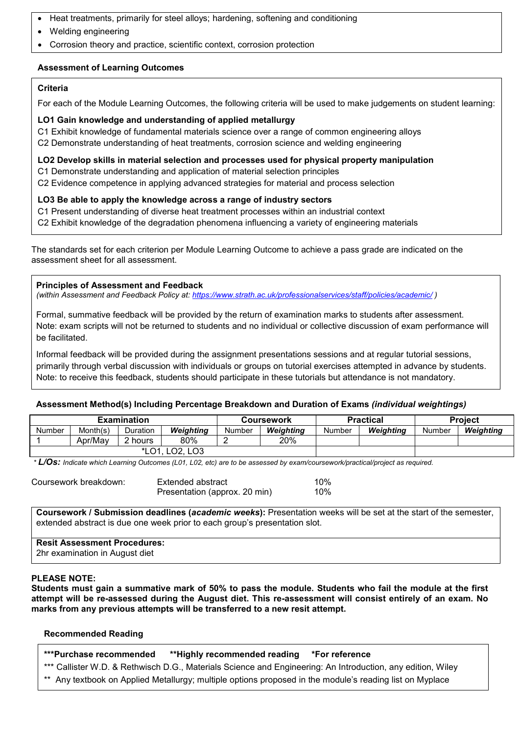- Heat treatments, primarily for steel alloys; hardening, softening and conditioning
- Welding engineering
- Corrosion theory and practice, scientific context, corrosion protection

## **Assessment of Learning Outcomes**

#### **Criteria**

For each of the Module Learning Outcomes, the following criteria will be used to make judgements on student learning:

#### **LO1 Gain knowledge and understanding of applied metallurgy**

C1 Exhibit knowledge of fundamental materials science over a range of common engineering alloys

C2 Demonstrate understanding of heat treatments, corrosion science and welding engineering

#### **LO2 Develop skills in material selection and processes used for physical property manipulation**

- C1 Demonstrate understanding and application of material selection principles
- C2 Evidence competence in applying advanced strategies for material and process selection

#### **LO3 Be able to apply the knowledge across a range of industry sectors**

- C1 Present understanding of diverse heat treatment processes within an industrial context
- C2 Exhibit knowledge of the degradation phenomena influencing a variety of engineering materials

The standards set for each criterion per Module Learning Outcome to achieve a pass grade are indicated on the assessment sheet for all assessment.

#### **Principles of Assessment and Feedback**

*(within Assessment and Feedback Policy at: <https://www.strath.ac.uk/professionalservices/staff/policies/academic/> )*

Formal, summative feedback will be provided by the return of examination marks to students after assessment. Note: exam scripts will not be returned to students and no individual or collective discussion of exam performance will be facilitated.

Informal feedback will be provided during the assignment presentations sessions and at regular tutorial sessions, primarily through verbal discussion with individuals or groups on tutorial exercises attempted in advance by students. Note: to receive this feedback, students should participate in these tutorials but attendance is not mandatory.

#### **Assessment Method(s) Including Percentage Breakdown and Duration of Exams** *(individual weightings)*

|        |          | <b>Examination</b> |                                   |        | <b>Coursework</b> |        | <b>Practical</b> | <b>Project</b> |           |  |
|--------|----------|--------------------|-----------------------------------|--------|-------------------|--------|------------------|----------------|-----------|--|
| Number | Month(s) | Duration           | Weiahtina                         | Number | Weiahtina         | Number | Weiahtina        | Number         | Weighting |  |
|        | Apr/May  | 2 hours            | 80%                               |        | 20%               |        |                  |                |           |  |
|        |          | *LO1               | LO <sub>2</sub> , LO <sub>3</sub> |        |                   |        |                  |                |           |  |

*\* L/Os: Indicate which Learning Outcomes (L01, L02, etc) are to be assessed by exam/coursework/practical/project as required.*

| Coursework breakdown: | Extended abstract             | 10% |
|-----------------------|-------------------------------|-----|
|                       | Presentation (approx. 20 min) | 10% |

**Coursework / Submission deadlines (***academic weeks***):** Presentation weeks will be set at the start of the semester, extended abstract is due one week prior to each group's presentation slot.

**Resit Assessment Procedures:** 2hr examination in August diet

#### **PLEASE NOTE:**

**Students must gain a summative mark of 50% to pass the module. Students who fail the module at the first attempt will be re-assessed during the August diet. This re-assessment will consist entirely of an exam. No marks from any previous attempts will be transferred to a new resit attempt.**

#### **Recommended Reading**

- **\*\*\*Purchase recommended \*\*Highly recommended reading \*For reference**
- \*\*\* Callister W.D. & Rethwisch D.G., Materials Science and Engineering: An Introduction, any edition, Wiley
- \*\* Any textbook on Applied Metallurgy; multiple options proposed in the module's reading list on Myplace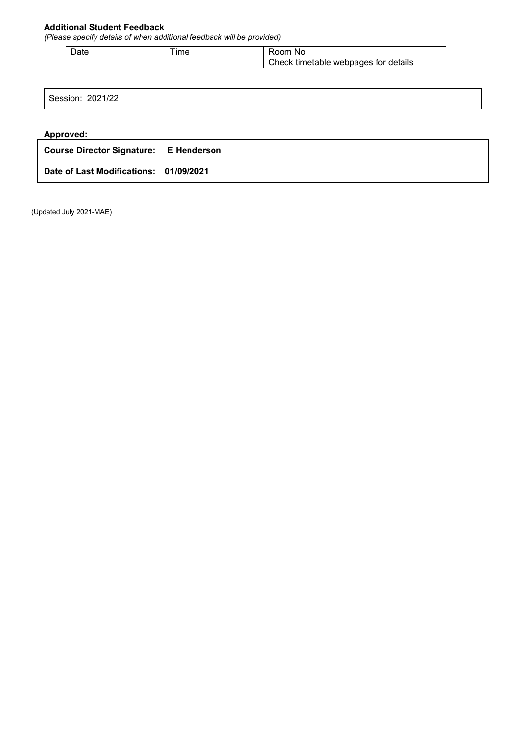## **Additional Student Feedback**

*(Please specify details of when additional feedback will be provided)*

| Date | $Im\epsilon$ | nnm<br>NC                                     |
|------|--------------|-----------------------------------------------|
|      |              | こheck<br>tor details<br>webpages<br>timetable |

Session: 2021/22

### **Approved:**

| <b>Course Director Signature: E Henderson</b> |  |
|-----------------------------------------------|--|
| Date of Last Modifications: 01/09/2021        |  |

(Updated July 2021-MAE)